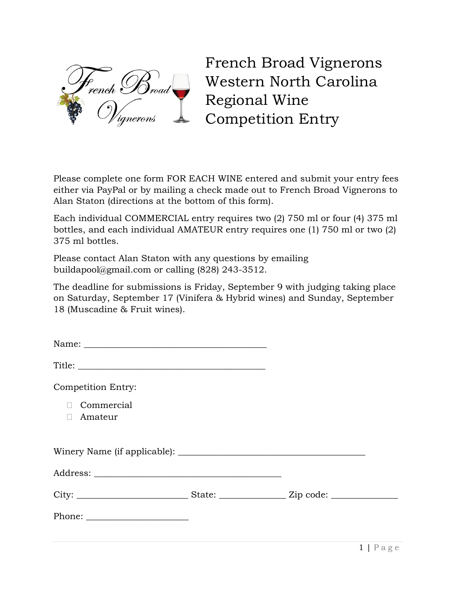

French Broad Vignerons Western North Carolina Regional Wine Competition Entry

Please complete one form FOR EACH WINE entered and submit your entry fees either via PayPal or by mailing a check made out to French Broad Vignerons to Alan Staton (directions at the bottom of this form).

Each individual COMMERCIAL entry requires two (2) 750 ml or four (4) 375 ml bottles, and each individual AMATEUR entry requires one (1) 750 ml or two (2) 375 ml bottles.

Please contact Alan Staton with any questions by emailing buildapool@gmail.com or calling (828) 243-3512.

The deadline for submissions is Friday, September 9 with judging taking place on Saturday, September 17 (Vinifera & Hybrid wines) and Sunday, September 18 (Muscadine & Fruit wines).

Name:  $\blacksquare$ 

Title: \_\_\_\_\_\_\_\_\_\_\_\_\_\_\_\_\_\_\_\_\_\_\_\_\_\_\_\_\_\_\_\_\_\_\_\_\_\_\_\_\_\_

Competition Entry:

- Commercial
- Amateur

Winery Name (if applicable): \_\_\_\_\_\_\_\_\_\_\_\_\_\_\_\_\_\_\_\_\_\_\_\_\_\_\_\_\_\_\_\_\_\_\_\_\_\_\_\_\_\_

Address: \_\_\_\_\_\_\_\_\_\_\_\_\_\_\_\_\_\_\_\_\_\_\_\_\_\_\_\_\_\_\_\_\_\_\_\_\_\_\_\_\_\_

City: \_\_\_\_\_\_\_\_\_\_\_\_\_\_\_\_\_\_\_\_\_\_\_\_\_ State: \_\_\_\_\_\_\_\_\_\_\_\_\_\_\_ Zip code: \_\_\_\_\_\_\_\_\_\_\_\_\_\_\_

Phone: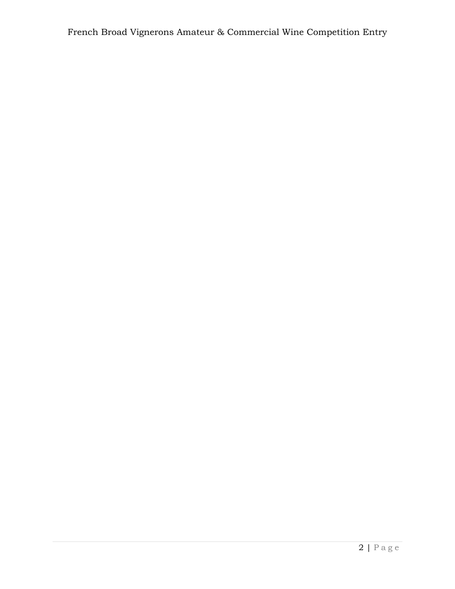French Broad Vignerons Amateur & Commercial Wine Competition Entry